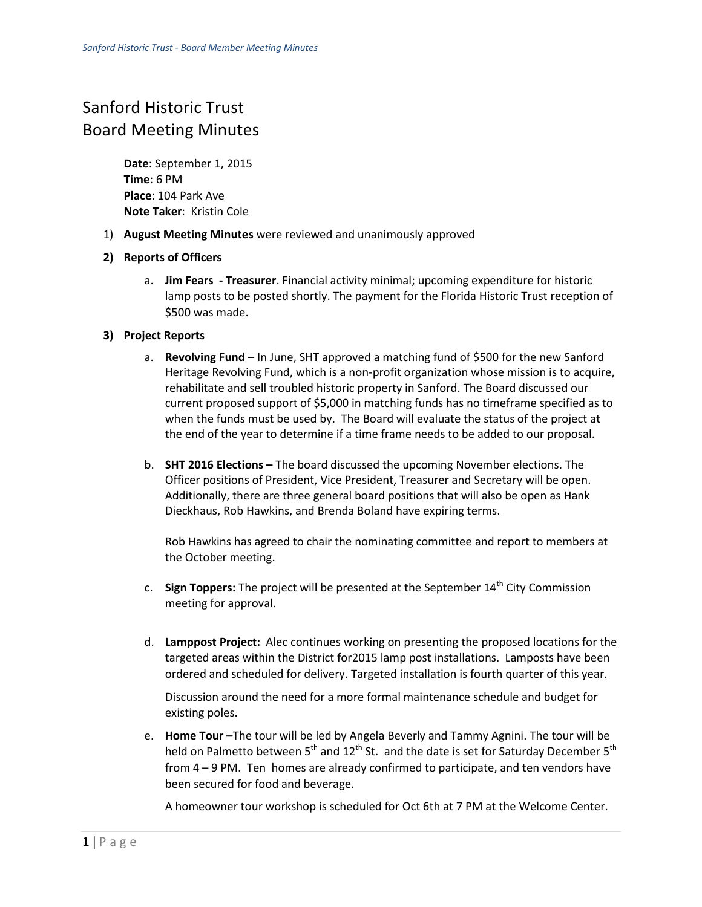## Sanford Historic Trust Board Meeting Minutes

**Date**: September 1, 2015 **Time**: 6 PM **Place**: 104 Park Ave **Note Taker**: Kristin Cole

1) **August Meeting Minutes** were reviewed and unanimously approved

## **2) Reports of Officers**

a. **Jim Fears - Treasurer**. Financial activity minimal; upcoming expenditure for historic lamp posts to be posted shortly. The payment for the Florida Historic Trust reception of \$500 was made.

## **3) Project Reports**

- a. **Revolving Fund** In June, SHT approved a matching fund of \$500 for the new Sanford Heritage Revolving Fund, which is a non-profit organization whose mission is to acquire, rehabilitate and sell troubled historic property in Sanford. The Board discussed our current proposed support of \$5,000 in matching funds has no timeframe specified as to when the funds must be used by. The Board will evaluate the status of the project at the end of the year to determine if a time frame needs to be added to our proposal.
- b. **SHT 2016 Elections –** The board discussed the upcoming November elections. The Officer positions of President, Vice President, Treasurer and Secretary will be open. Additionally, there are three general board positions that will also be open as Hank Dieckhaus, Rob Hawkins, and Brenda Boland have expiring terms.

Rob Hawkins has agreed to chair the nominating committee and report to members at the October meeting.

- c. **Sign Toppers:** The project will be presented at the September 14th City Commission meeting for approval.
- d. **Lamppost Project:** Alec continues working on presenting the proposed locations for the targeted areas within the District for2015 lamp post installations. Lamposts have been ordered and scheduled for delivery. Targeted installation is fourth quarter of this year.

Discussion around the need for a more formal maintenance schedule and budget for existing poles.

e. **Home Tour –**The tour will be led by Angela Beverly and Tammy Agnini. The tour will be held on Palmetto between  $5<sup>th</sup>$  and  $12<sup>th</sup>$  St. and the date is set for Saturday December  $5<sup>th</sup>$ from 4 – 9 PM. Ten homes are already confirmed to participate, and ten vendors have been secured for food and beverage.

A homeowner tour workshop is scheduled for Oct 6th at 7 PM at the Welcome Center.